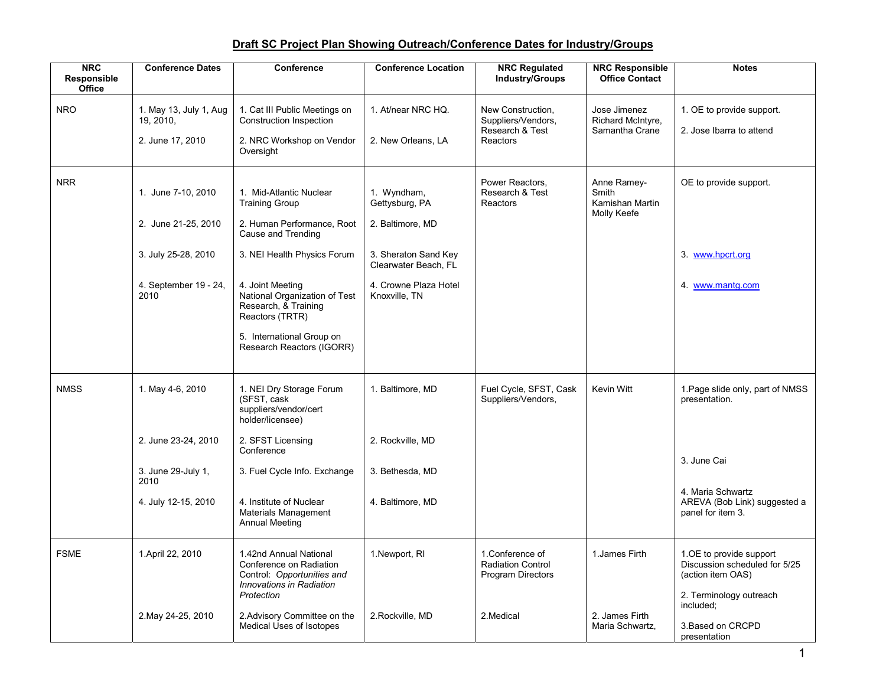## **Draft SC Project Plan Showing Outreach/Conference Dates for Industry/Groups**

| <b>NRC</b><br>Responsible<br><b>Office</b> | <b>Conference Dates</b>                                                                   | Conference                                                                                                                                              | <b>Conference Location</b>                                                                                                 | <b>NRC Regulated</b><br><b>Industry/Groups</b>                           | <b>NRC Responsible</b><br><b>Office Contact</b>        | <b>Notes</b>                                                                                             |
|--------------------------------------------|-------------------------------------------------------------------------------------------|---------------------------------------------------------------------------------------------------------------------------------------------------------|----------------------------------------------------------------------------------------------------------------------------|--------------------------------------------------------------------------|--------------------------------------------------------|----------------------------------------------------------------------------------------------------------|
| <b>NRO</b>                                 | 1. May 13, July 1, Aug<br>19, 2010,<br>2. June 17, 2010                                   | 1. Cat III Public Meetings on<br>Construction Inspection<br>2. NRC Workshop on Vendor<br>Oversight                                                      | 1. At/near NRC HQ.<br>2. New Orleans, LA                                                                                   | New Construction,<br>Suppliers/Vendors,<br>Research & Test<br>Reactors   | Jose Jimenez<br>Richard McIntyre,<br>Samantha Crane    | 1. OE to provide support.<br>2. Jose Ibarra to attend                                                    |
| <b>NRR</b>                                 | 1. June 7-10, 2010<br>2. June 21-25, 2010<br>3. July 25-28, 2010<br>4. September 19 - 24, | 1. Mid-Atlantic Nuclear<br><b>Training Group</b><br>2. Human Performance, Root<br>Cause and Trending<br>3. NEI Health Physics Forum<br>4. Joint Meeting | 1. Wyndham,<br>Gettysburg, PA<br>2. Baltimore, MD<br>3. Sheraton Sand Key<br>Clearwater Beach. FL<br>4. Crowne Plaza Hotel | Power Reactors.<br>Research & Test<br>Reactors                           | Anne Ramey-<br>Smith<br>Kamishan Martin<br>Molly Keefe | OE to provide support.<br>3. www.hpcrt.org<br>4. www.mantg.com                                           |
|                                            | 2010                                                                                      | National Organization of Test<br>Research, & Training<br>Reactors (TRTR)<br>5. International Group on<br>Research Reactors (IGORR)                      | Knoxville, TN                                                                                                              |                                                                          |                                                        |                                                                                                          |
| <b>NMSS</b>                                | 1. May 4-6, 2010                                                                          | 1. NEI Dry Storage Forum<br>(SFST, cask<br>suppliers/vendor/cert<br>holder/licensee)                                                                    | 1. Baltimore, MD                                                                                                           | Fuel Cycle, SFST, Cask<br>Suppliers/Vendors,                             | Kevin Witt                                             | 1. Page slide only, part of NMSS<br>presentation.                                                        |
|                                            | 2. June 23-24, 2010                                                                       | 2. SFST Licensing<br>Conference                                                                                                                         | 2. Rockville, MD                                                                                                           |                                                                          |                                                        |                                                                                                          |
|                                            | 3. June 29-July 1,<br>2010                                                                | 3. Fuel Cycle Info. Exchange                                                                                                                            | 3. Bethesda, MD                                                                                                            |                                                                          |                                                        | 3. June Cai                                                                                              |
|                                            | 4. July 12-15, 2010                                                                       | 4. Institute of Nuclear<br>Materials Management<br><b>Annual Meeting</b>                                                                                | 4. Baltimore, MD                                                                                                           |                                                                          |                                                        | 4. Maria Schwartz<br>AREVA (Bob Link) suggested a<br>panel for item 3.                                   |
| <b>FSME</b>                                | 1. April 22, 2010                                                                         | 1.42nd Annual National<br>Conference on Radiation<br>Control: Opportunities and<br>Innovations in Radiation<br>Protection                               | 1. Newport, RI                                                                                                             | 1. Conference of<br><b>Radiation Control</b><br><b>Program Directors</b> | 1. James Firth                                         | 1.OE to provide support<br>Discussion scheduled for 5/25<br>(action item OAS)<br>2. Terminology outreach |
|                                            | 2. May 24-25, 2010                                                                        | 2. Advisory Committee on the<br>Medical Uses of Isotopes                                                                                                | 2. Rockville, MD                                                                                                           | 2. Medical                                                               | 2. James Firth<br>Maria Schwartz,                      | included;<br>3. Based on CRCPD<br>presentation                                                           |